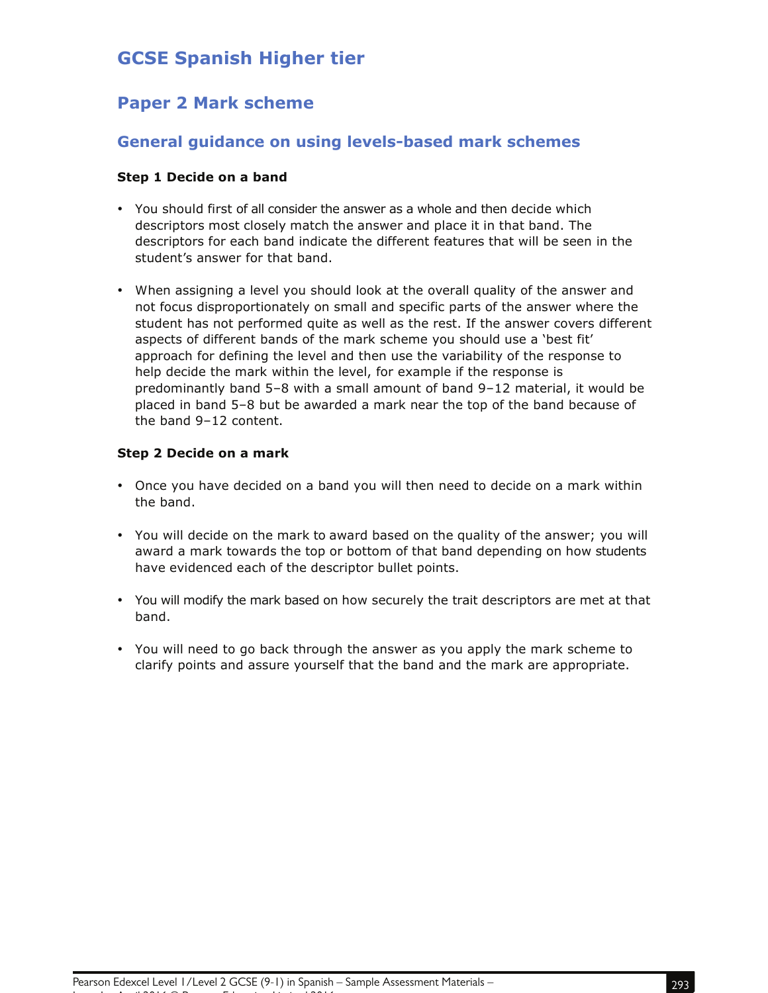# **GCSE Spanish Higher tier**

## **Paper 2 Mark scheme**

## **General guidance on using levels-based mark schemes**

#### **Step 1 Decide on a band**

- You should first of all consider the answer as a whole and then decide which descriptors most closely match the answer and place it in that band. The descriptors for each band indicate the different features that will be seen in the student's answer for that band.
- When assigning a level you should look at the overall quality of the answer and not focus disproportionately on small and specific parts of the answer where the student has not performed quite as well as the rest. If the answer covers different aspects of different bands of the mark scheme you should use a 'best fit' approach for defining the level and then use the variability of the response to help decide the mark within the level, for example if the response is predominantly band 5–8 with a small amount of band 9–12 material, it would be placed in band 5–8 but be awarded a mark near the top of the band because of the band 9–12 content.

#### **Step 2 Decide on a mark**

- Once you have decided on a band you will then need to decide on a mark within the band.
- You will decide on the mark to award based on the quality of the answer; you will award a mark towards the top or bottom of that band depending on how students have evidenced each of the descriptor bullet points.
- You will modify the mark based on how securely the trait descriptors are met at that band.
- You will need to go back through the answer as you apply the mark scheme to clarify points and assure yourself that the band and the mark are appropriate.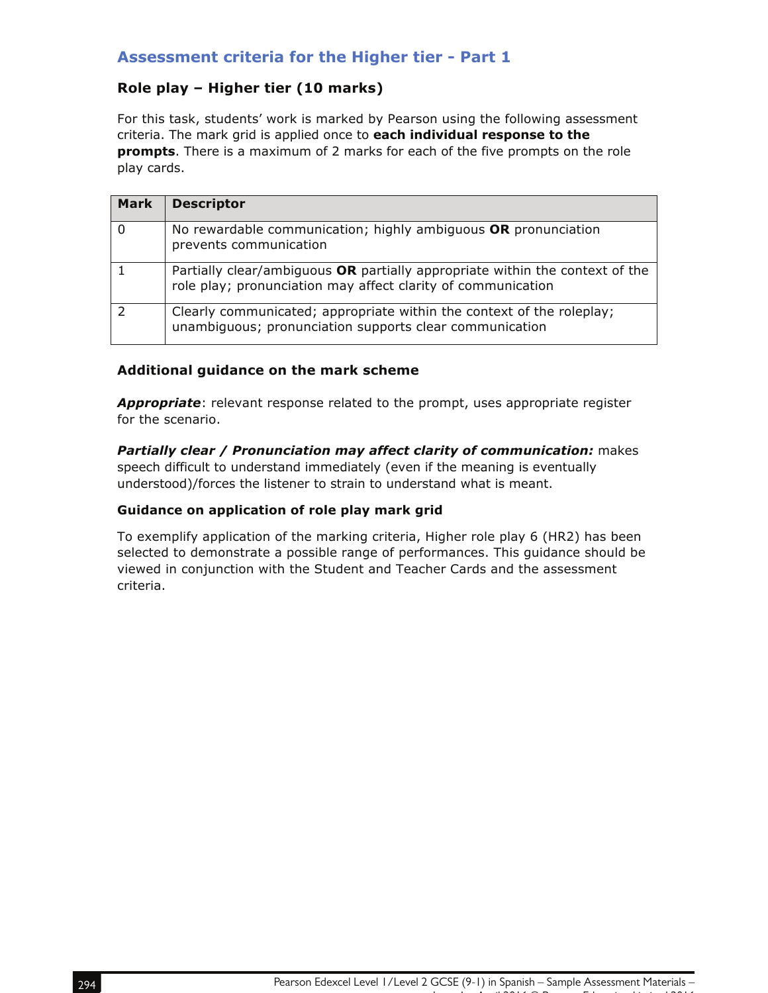## **Assessment criteria for the Higher tier - Part 1**

## **Role play – Higher tier (10 marks)**

For this task, students' work is marked by Pearson using the following assessment criteria. The mark grid is applied once to **each individual response to the prompts**. There is a maximum of 2 marks for each of the five prompts on the role play cards.

| <b>Mark</b>   | <b>Descriptor</b>                                                                                                                            |
|---------------|----------------------------------------------------------------------------------------------------------------------------------------------|
| 0             | No rewardable communication; highly ambiguous OR pronunciation<br>prevents communication                                                     |
|               | Partially clear/ambiguous OR partially appropriate within the context of the<br>role play; pronunciation may affect clarity of communication |
| $\mathcal{P}$ | Clearly communicated; appropriate within the context of the roleplay;<br>unambiguous; pronunciation supports clear communication             |

#### **Additional guidance on the mark scheme**

*Appropriate*: relevant response related to the prompt, uses appropriate register for the scenario.

**Partially clear / Pronunciation may affect clarity of communication:** makes speech difficult to understand immediately (even if the meaning is eventually understood)/forces the listener to strain to understand what is meant.

#### **Guidance on application of role play mark grid**

To exemplify application of the marking criteria, Higher role play 6 (HR2) has been selected to demonstrate a possible range of performances. This guidance should be viewed in conjunction with the Student and Teacher Cards and the assessment criteria.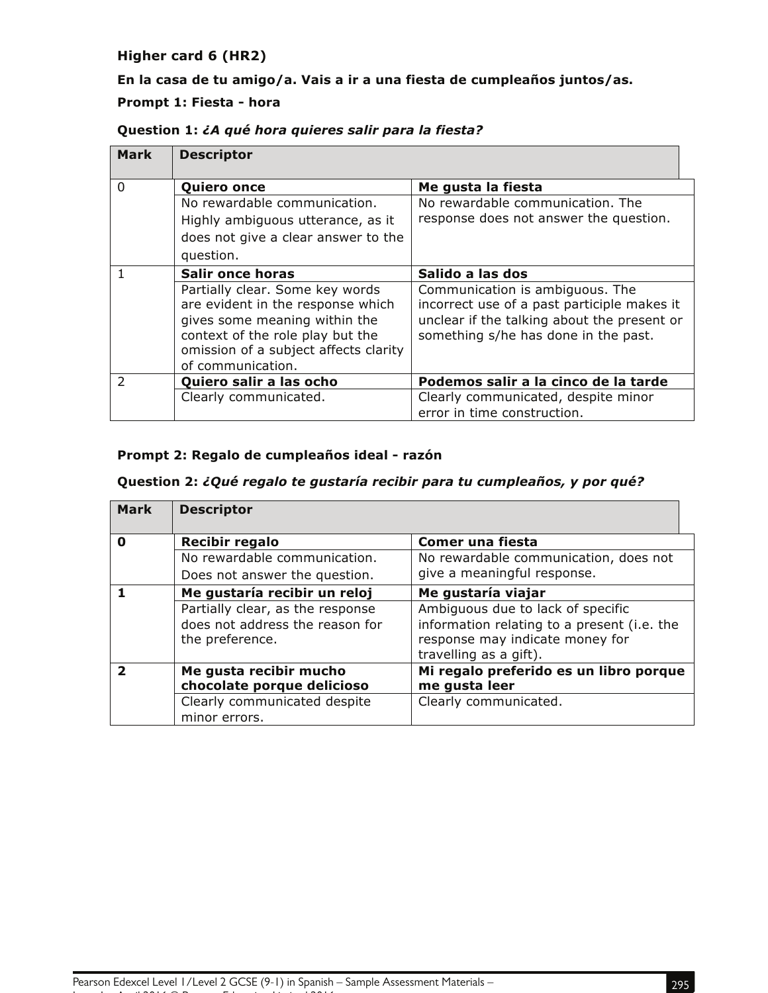### **Higher card 6 (HR2)**

## **En la casa de tu amigo/a. Vais a ir a una fiesta de cumpleaños juntos/as.**

#### **Prompt 1: Fiesta - hora**

| Mark          | <b>Descriptor</b>                                                                                                                                                                                       |                                                                                                                                                                       |
|---------------|---------------------------------------------------------------------------------------------------------------------------------------------------------------------------------------------------------|-----------------------------------------------------------------------------------------------------------------------------------------------------------------------|
| $\Omega$      | <b>Quiero once</b>                                                                                                                                                                                      | Me gusta la fiesta                                                                                                                                                    |
|               | No rewardable communication.                                                                                                                                                                            | No rewardable communication. The                                                                                                                                      |
|               | Highly ambiguous utterance, as it                                                                                                                                                                       | response does not answer the question.                                                                                                                                |
|               | does not give a clear answer to the                                                                                                                                                                     |                                                                                                                                                                       |
|               | question.                                                                                                                                                                                               |                                                                                                                                                                       |
|               | <b>Salir once horas</b>                                                                                                                                                                                 | Salido a las dos                                                                                                                                                      |
|               | Partially clear. Some key words<br>are evident in the response which<br>gives some meaning within the<br>context of the role play but the<br>omission of a subject affects clarity<br>of communication. | Communication is ambiguous. The<br>incorrect use of a past participle makes it<br>unclear if the talking about the present or<br>something s/he has done in the past. |
| $\mathcal{P}$ | Quiero salir a las ocho                                                                                                                                                                                 | Podemos salir a la cinco de la tarde                                                                                                                                  |
|               | Clearly communicated.                                                                                                                                                                                   | Clearly communicated, despite minor                                                                                                                                   |
|               |                                                                                                                                                                                                         | error in time construction.                                                                                                                                           |

#### **Question 1:** *¿A qué hora quieres salir para la fiesta?*

#### **Prompt 2: Regalo de cumpleaños ideal - razón**

#### **Question 2:** *¿Qué regalo te gustaría recibir para tu cumpleaños, y por qué?*

| Mark                     | <b>Descriptor</b>                |                                             |
|--------------------------|----------------------------------|---------------------------------------------|
| 0                        | <b>Recibir regalo</b>            | Comer una fiesta                            |
|                          | No rewardable communication.     | No rewardable communication, does not       |
|                          | Does not answer the question.    | give a meaningful response.                 |
|                          | Me gustaría recibir un reloj     | Me gustaría viajar                          |
|                          | Partially clear, as the response | Ambiguous due to lack of specific           |
|                          | does not address the reason for  | information relating to a present (i.e. the |
|                          | the preference.                  | response may indicate money for             |
|                          |                                  | travelling as a gift).                      |
| $\overline{\phantom{a}}$ | Me gusta recibir mucho           | Mi regalo preferido es un libro porque      |
|                          | chocolate porque delicioso       | me gusta leer                               |
|                          | Clearly communicated despite     | Clearly communicated.                       |
|                          | minor errors.                    |                                             |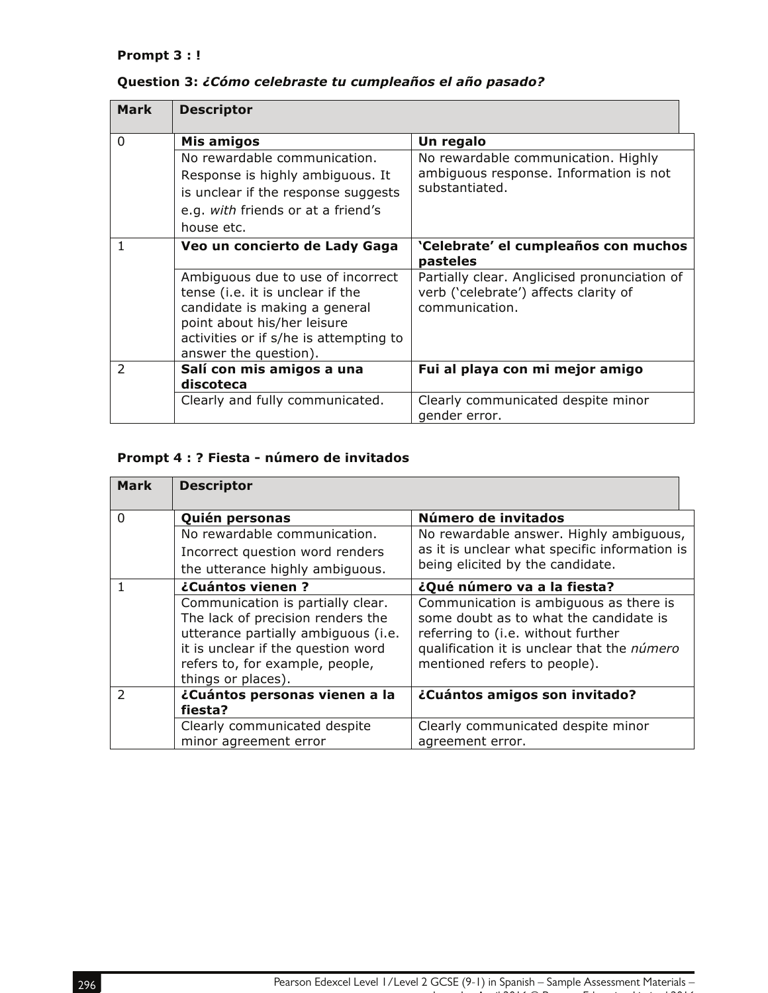#### **Prompt 3 : !**

| <b>Mark</b> | <b>Descriptor</b>                                                                                                                                                                                        |                                                                                                         |
|-------------|----------------------------------------------------------------------------------------------------------------------------------------------------------------------------------------------------------|---------------------------------------------------------------------------------------------------------|
| $\Omega$    | Mis amigos                                                                                                                                                                                               | Un regalo                                                                                               |
|             | No rewardable communication.                                                                                                                                                                             | No rewardable communication. Highly                                                                     |
|             | Response is highly ambiguous. It                                                                                                                                                                         | ambiguous response. Information is not                                                                  |
|             | is unclear if the response suggests                                                                                                                                                                      | substantiated.                                                                                          |
|             | e.g. with friends or at a friend's                                                                                                                                                                       |                                                                                                         |
|             | house etc.                                                                                                                                                                                               |                                                                                                         |
| 1           | Veo un concierto de Lady Gaga                                                                                                                                                                            | 'Celebrate' el cumpleaños con muchos<br>pasteles                                                        |
|             | Ambiguous due to use of incorrect<br>tense (i.e. it is unclear if the<br>candidate is making a general<br>point about his/her leisure<br>activities or if s/he is attempting to<br>answer the question). | Partially clear. Anglicised pronunciation of<br>verb ('celebrate') affects clarity of<br>communication. |
| 2           | Salí con mis amigos a una<br>discoteca                                                                                                                                                                   | Fui al playa con mi mejor amigo                                                                         |
|             | Clearly and fully communicated.                                                                                                                                                                          | Clearly communicated despite minor<br>gender error.                                                     |

### **Question 3:** *¿Cómo celebraste tu cumpleaños el año pasado?*

## **Prompt 4 : ? Fiesta - número de invitados**

| <b>Mark</b>   | <b>Descriptor</b>                                                                                                                                                                                            |                                                                                                                                                                                                       |
|---------------|--------------------------------------------------------------------------------------------------------------------------------------------------------------------------------------------------------------|-------------------------------------------------------------------------------------------------------------------------------------------------------------------------------------------------------|
| $\Omega$      | Quién personas                                                                                                                                                                                               | Número de invitados                                                                                                                                                                                   |
|               | No rewardable communication.<br>Incorrect question word renders<br>the utterance highly ambiguous.                                                                                                           | No rewardable answer. Highly ambiguous,<br>as it is unclear what specific information is<br>being elicited by the candidate.                                                                          |
| 1             | ¿Cuántos vienen?                                                                                                                                                                                             | ¿Qué número va a la fiesta?                                                                                                                                                                           |
|               | Communication is partially clear.<br>The lack of precision renders the<br>utterance partially ambiguous (i.e.<br>it is unclear if the question word<br>refers to, for example, people,<br>things or places). | Communication is ambiguous as there is<br>some doubt as to what the candidate is<br>referring to (i.e. without further<br>qualification it is unclear that the número<br>mentioned refers to people). |
| $\mathcal{P}$ | ¿Cuántos personas vienen a la<br>fiesta?                                                                                                                                                                     | ¿Cuántos amigos son invitado?                                                                                                                                                                         |
|               | Clearly communicated despite<br>minor agreement error                                                                                                                                                        | Clearly communicated despite minor<br>agreement error.                                                                                                                                                |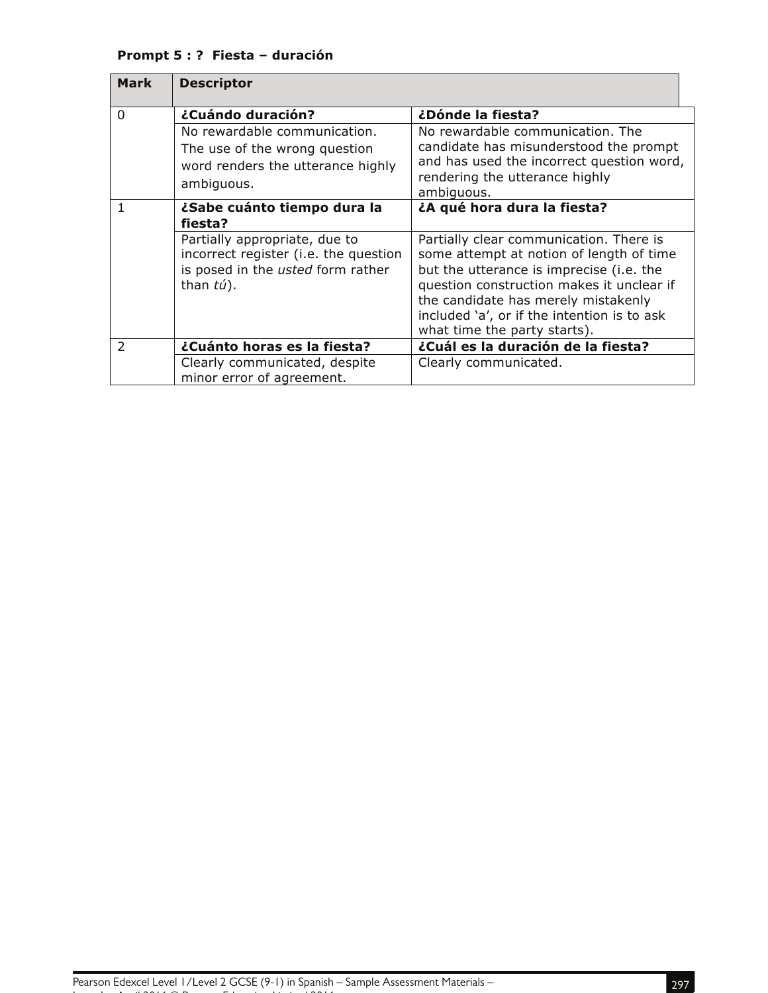## **Prompt 5 : ? Fiesta – duración**

| <b>Mark</b>   | <b>Descriptor</b>                                                                                                           |                                                                                                                                                                                                                                                                                                    |
|---------------|-----------------------------------------------------------------------------------------------------------------------------|----------------------------------------------------------------------------------------------------------------------------------------------------------------------------------------------------------------------------------------------------------------------------------------------------|
| 0             | ¿Cuándo duración?                                                                                                           | ¿Dónde la fiesta?                                                                                                                                                                                                                                                                                  |
|               | No rewardable communication.<br>The use of the wrong question<br>word renders the utterance highly<br>ambiguous.            | No rewardable communication. The<br>candidate has misunderstood the prompt<br>and has used the incorrect question word,<br>rendering the utterance highly<br>ambiguous.                                                                                                                            |
|               | ¿Sabe cuánto tiempo dura la<br>fiesta?                                                                                      | ¿A qué hora dura la fiesta?                                                                                                                                                                                                                                                                        |
|               | Partially appropriate, due to<br>incorrect register (i.e. the question<br>is posed in the usted form rather<br>than $t$ ú). | Partially clear communication. There is<br>some attempt at notion of length of time<br>but the utterance is imprecise (i.e. the<br>question construction makes it unclear if<br>the candidate has merely mistakenly<br>included 'a', or if the intention is to ask<br>what time the party starts). |
| $\mathcal{P}$ | ¿Cuánto horas es la fiesta?                                                                                                 | ¿Cuál es la duración de la fiesta?                                                                                                                                                                                                                                                                 |
|               | Clearly communicated, despite<br>minor error of agreement.                                                                  | Clearly communicated.                                                                                                                                                                                                                                                                              |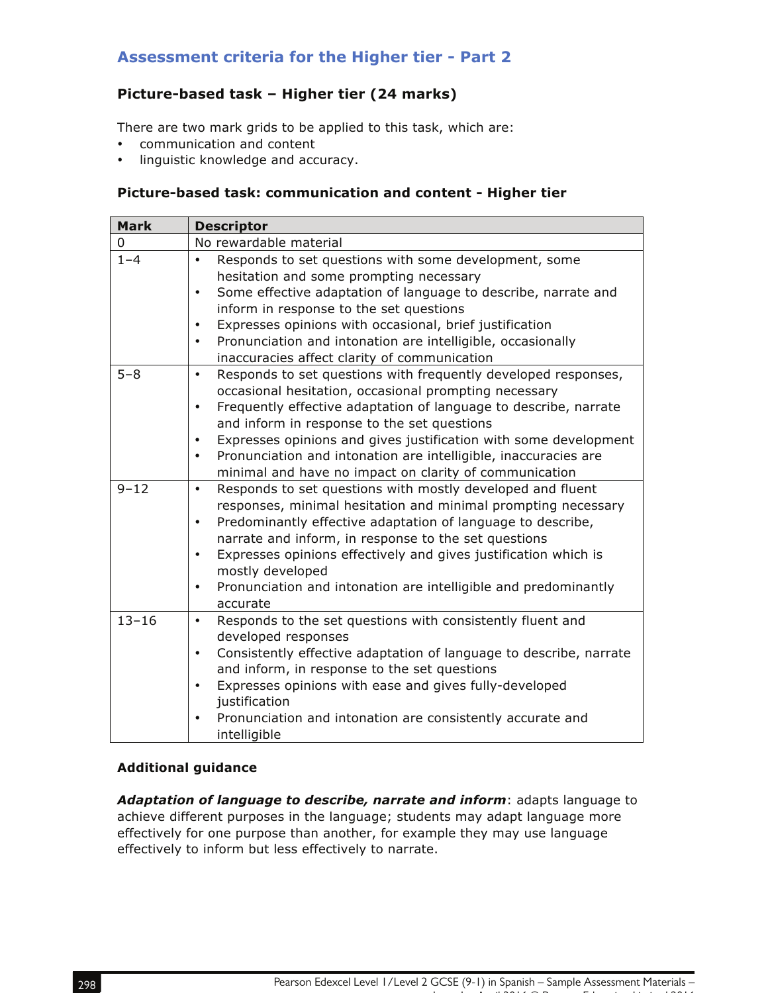## **Assessment criteria for the Higher tier - Part 2**

## **Picture-based task – Higher tier (24 marks)**

There are two mark grids to be applied to this task, which are:

- communication and content
- linguistic knowledge and accuracy.

#### **Picture-based task: communication and content - Higher tier**

| <b>Mark</b> | <b>Descriptor</b>                                                                                                                                                                                                                                                                                                                                                                                                                                                                               |
|-------------|-------------------------------------------------------------------------------------------------------------------------------------------------------------------------------------------------------------------------------------------------------------------------------------------------------------------------------------------------------------------------------------------------------------------------------------------------------------------------------------------------|
| 0           | No rewardable material                                                                                                                                                                                                                                                                                                                                                                                                                                                                          |
| $1 - 4$     | Responds to set questions with some development, some<br>٠<br>hesitation and some prompting necessary<br>Some effective adaptation of language to describe, narrate and<br>$\bullet$<br>inform in response to the set questions<br>Expresses opinions with occasional, brief justification<br>$\bullet$<br>Pronunciation and intonation are intelligible, occasionally<br>$\bullet$<br>inaccuracies affect clarity of communication                                                             |
| $5 - 8$     | Responds to set questions with frequently developed responses,<br>$\bullet$<br>occasional hesitation, occasional prompting necessary<br>Frequently effective adaptation of language to describe, narrate<br>$\bullet$<br>and inform in response to the set questions<br>Expresses opinions and gives justification with some development<br>$\bullet$<br>Pronunciation and intonation are intelligible, inaccuracies are<br>$\bullet$<br>minimal and have no impact on clarity of communication |
| $9 - 12$    | Responds to set questions with mostly developed and fluent<br>$\bullet$<br>responses, minimal hesitation and minimal prompting necessary<br>Predominantly effective adaptation of language to describe,<br>$\bullet$<br>narrate and inform, in response to the set questions<br>Expresses opinions effectively and gives justification which is<br>$\bullet$<br>mostly developed<br>Pronunciation and intonation are intelligible and predominantly<br>$\bullet$<br>accurate                    |
| $13 - 16$   | Responds to the set questions with consistently fluent and<br>$\bullet$<br>developed responses<br>Consistently effective adaptation of language to describe, narrate<br>$\bullet$<br>and inform, in response to the set questions<br>Expresses opinions with ease and gives fully-developed<br>$\bullet$<br>justification<br>Pronunciation and intonation are consistently accurate and<br>$\bullet$<br>intelligible                                                                            |

#### **Additional guidance**

*Adaptation of language to describe, narrate and inform*: adapts language to achieve different purposes in the language; students may adapt language more effectively for one purpose than another, for example they may use language effectively to inform but less effectively to narrate.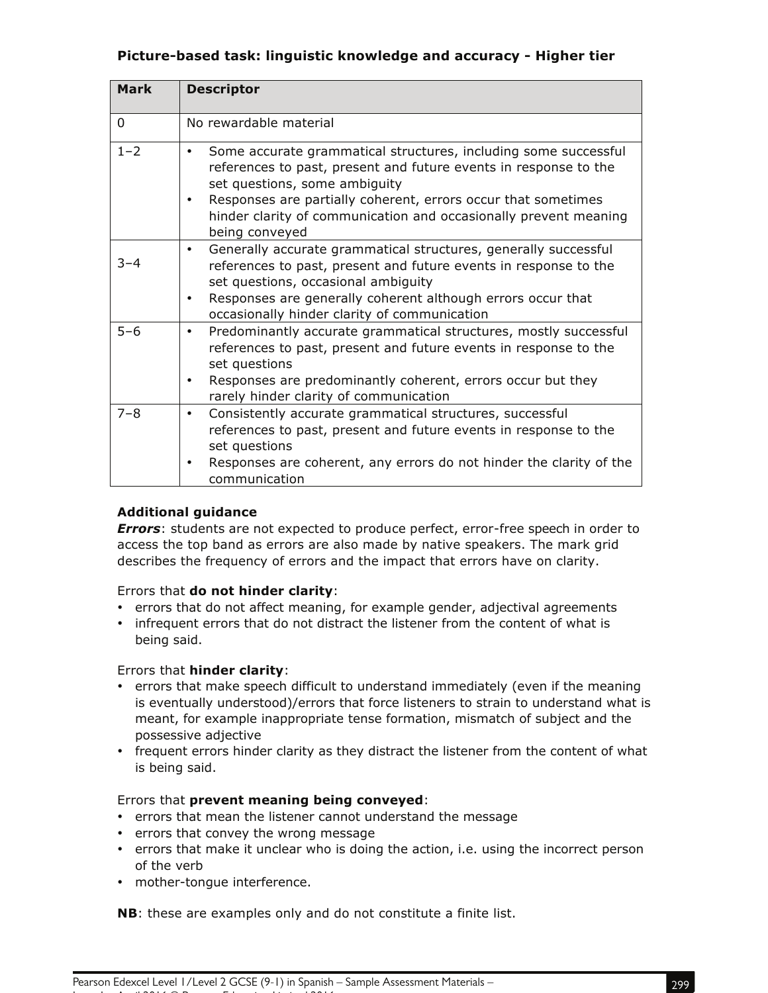### **Picture-based task: linguistic knowledge and accuracy - Higher tier**

| <b>Mark</b> | <b>Descriptor</b>                                                                                                                                                                                                                                                                                                                     |
|-------------|---------------------------------------------------------------------------------------------------------------------------------------------------------------------------------------------------------------------------------------------------------------------------------------------------------------------------------------|
| 0           | No rewardable material                                                                                                                                                                                                                                                                                                                |
| $1 - 2$     | Some accurate grammatical structures, including some successful<br>٠<br>references to past, present and future events in response to the<br>set questions, some ambiguity<br>Responses are partially coherent, errors occur that sometimes<br>٠<br>hinder clarity of communication and occasionally prevent meaning<br>being conveyed |
| $3 - 4$     | Generally accurate grammatical structures, generally successful<br>$\bullet$<br>references to past, present and future events in response to the<br>set questions, occasional ambiguity<br>Responses are generally coherent although errors occur that<br>٠<br>occasionally hinder clarity of communication                           |
| $5 - 6$     | Predominantly accurate grammatical structures, mostly successful<br>$\bullet$<br>references to past, present and future events in response to the<br>set questions<br>Responses are predominantly coherent, errors occur but they<br>٠<br>rarely hinder clarity of communication                                                      |
| $7 - 8$     | Consistently accurate grammatical structures, successful<br>$\bullet$<br>references to past, present and future events in response to the<br>set questions<br>Responses are coherent, any errors do not hinder the clarity of the<br>٠<br>communication                                                                               |

#### **Additional guidance**

*Errors*: students are not expected to produce perfect, error-free speech in order to access the top band as errors are also made by native speakers. The mark grid describes the frequency of errors and the impact that errors have on clarity.

#### Errors that **do not hinder clarity**:

- errors that do not affect meaning, for example gender, adjectival agreements
- infrequent errors that do not distract the listener from the content of what is being said.

#### Errors that **hinder clarity**:

- errors that make speech difficult to understand immediately (even if the meaning is eventually understood)/errors that force listeners to strain to understand what is meant, for example inappropriate tense formation, mismatch of subject and the possessive adjective
- frequent errors hinder clarity as they distract the listener from the content of what is being said.

#### Errors that **prevent meaning being conveyed**:

- errors that mean the listener cannot understand the message
- errors that convey the wrong message
- errors that make it unclear who is doing the action, i.e. using the incorrect person of the verb
- mother-tongue interference.

Issue 1 – April 2016 © Pearson Education Limited 2016

**NB**: these are examples only and do not constitute a finite list.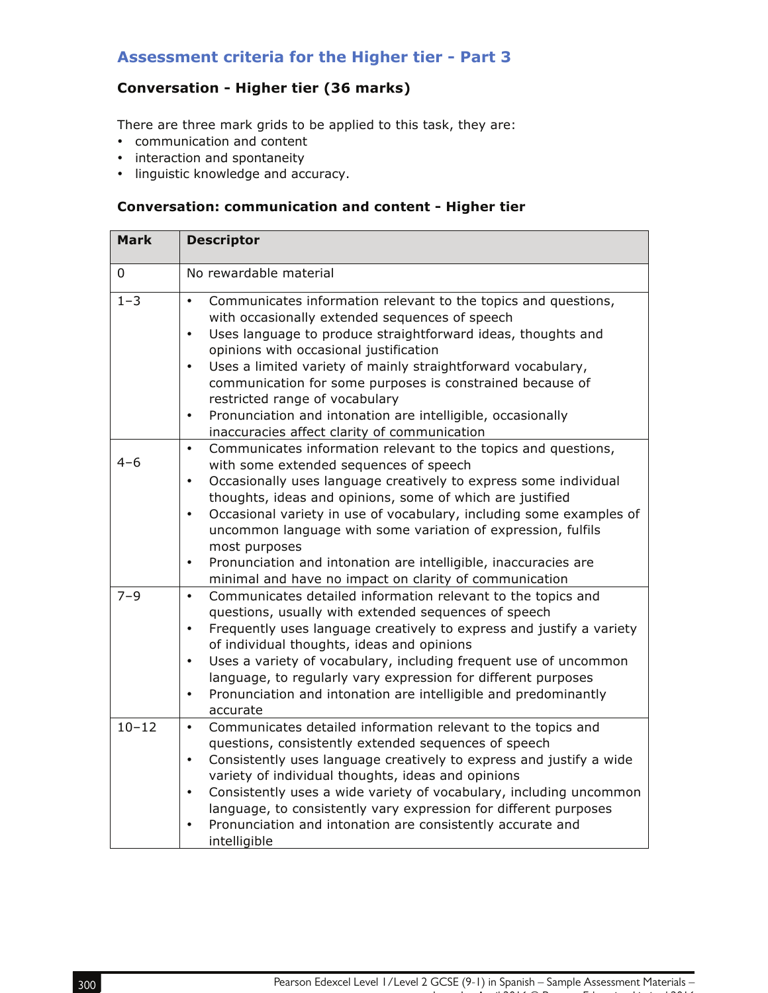## **Assessment criteria for the Higher tier - Part 3**

## **Conversation - Higher tier (36 marks)**

There are three mark grids to be applied to this task, they are:

- communication and content
- interaction and spontaneity
- linguistic knowledge and accuracy.

## **Conversation: communication and content - Higher tier**

| <b>Mark</b> | <b>Descriptor</b>                                                                                                                                                                                                                                                                                                                                                                                                                                                                                                                                                                  |
|-------------|------------------------------------------------------------------------------------------------------------------------------------------------------------------------------------------------------------------------------------------------------------------------------------------------------------------------------------------------------------------------------------------------------------------------------------------------------------------------------------------------------------------------------------------------------------------------------------|
| 0           | No rewardable material                                                                                                                                                                                                                                                                                                                                                                                                                                                                                                                                                             |
| $1 - 3$     | Communicates information relevant to the topics and questions,<br>$\bullet$<br>with occasionally extended sequences of speech<br>Uses language to produce straightforward ideas, thoughts and<br>$\bullet$<br>opinions with occasional justification<br>Uses a limited variety of mainly straightforward vocabulary,<br>$\bullet$<br>communication for some purposes is constrained because of<br>restricted range of vocabulary<br>Pronunciation and intonation are intelligible, occasionally<br>$\bullet$<br>inaccuracies affect clarity of communication                       |
| $4 - 6$     | Communicates information relevant to the topics and questions,<br>$\bullet$<br>with some extended sequences of speech<br>Occasionally uses language creatively to express some individual<br>$\bullet$<br>thoughts, ideas and opinions, some of which are justified<br>Occasional variety in use of vocabulary, including some examples of<br>$\bullet$<br>uncommon language with some variation of expression, fulfils<br>most purposes<br>Pronunciation and intonation are intelligible, inaccuracies are<br>$\bullet$<br>minimal and have no impact on clarity of communication |
| $7 - 9$     | Communicates detailed information relevant to the topics and<br>$\bullet$<br>questions, usually with extended sequences of speech<br>Frequently uses language creatively to express and justify a variety<br>$\bullet$<br>of individual thoughts, ideas and opinions<br>Uses a variety of vocabulary, including frequent use of uncommon<br>$\bullet$<br>language, to regularly vary expression for different purposes<br>Pronunciation and intonation are intelligible and predominantly<br>$\bullet$<br>accurate                                                                 |
| $10 - 12$   | Communicates detailed information relevant to the topics and<br>$\bullet$<br>questions, consistently extended sequences of speech<br>Consistently uses language creatively to express and justify a wide<br>$\bullet$<br>variety of individual thoughts, ideas and opinions<br>Consistently uses a wide variety of vocabulary, including uncommon<br>$\bullet$<br>language, to consistently vary expression for different purposes<br>Pronunciation and intonation are consistently accurate and<br>$\bullet$<br>intelligible                                                      |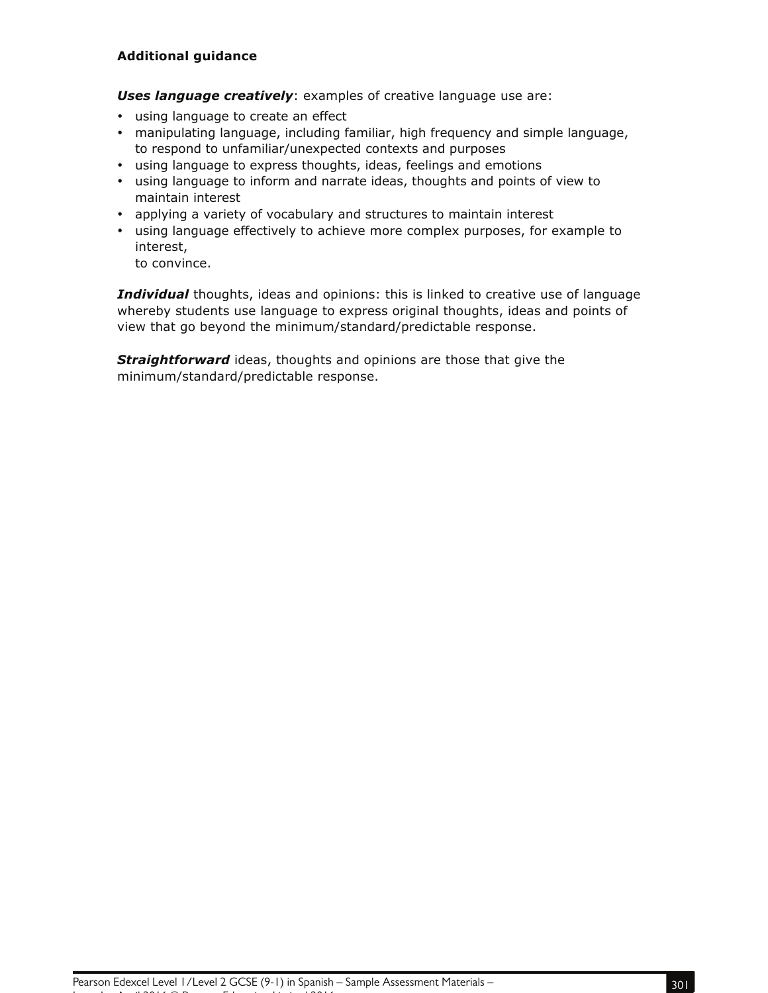#### **Additional guidance**

*Uses language creatively*: examples of creative language use are:

- using language to create an effect
- manipulating language, including familiar, high frequency and simple language, to respond to unfamiliar/unexpected contexts and purposes
- using language to express thoughts, ideas, feelings and emotions
- using language to inform and narrate ideas, thoughts and points of view to maintain interest
- applying a variety of vocabulary and structures to maintain interest
- using language effectively to achieve more complex purposes, for example to interest,

to convince.

*Individual* thoughts, ideas and opinions: this is linked to creative use of language whereby students use language to express original thoughts, ideas and points of view that go beyond the minimum/standard/predictable response.

**Straightforward** ideas, thoughts and opinions are those that give the minimum/standard/predictable response.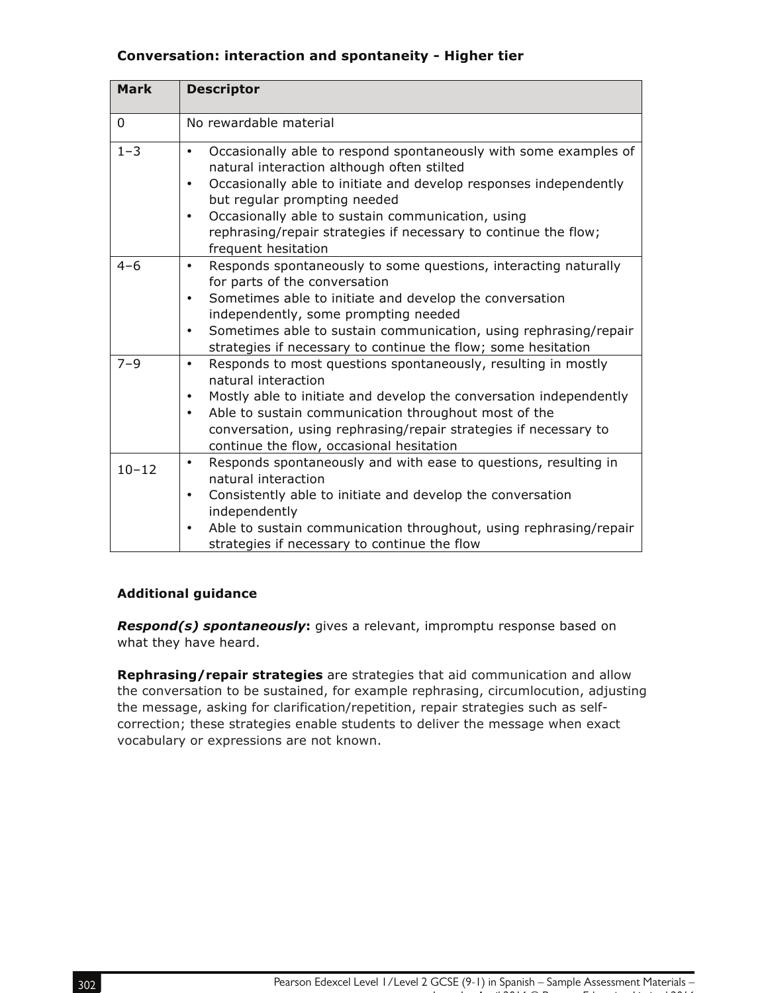#### **Conversation: interaction and spontaneity - Higher tier**

| <b>Mark</b> | <b>Descriptor</b>                                                                                                                                                                                                                                                                                                                                                                 |
|-------------|-----------------------------------------------------------------------------------------------------------------------------------------------------------------------------------------------------------------------------------------------------------------------------------------------------------------------------------------------------------------------------------|
| $\mathbf 0$ | No rewardable material                                                                                                                                                                                                                                                                                                                                                            |
| $1 - 3$     | Occasionally able to respond spontaneously with some examples of<br>٠<br>natural interaction although often stilted<br>Occasionally able to initiate and develop responses independently<br>٠<br>but regular prompting needed<br>Occasionally able to sustain communication, using<br>٠<br>rephrasing/repair strategies if necessary to continue the flow;<br>frequent hesitation |
| $4 - 6$     | Responds spontaneously to some questions, interacting naturally<br>٠<br>for parts of the conversation<br>Sometimes able to initiate and develop the conversation<br>٠<br>independently, some prompting needed<br>Sometimes able to sustain communication, using rephrasing/repair<br>٠<br>strategies if necessary to continue the flow; some hesitation                           |
| $7 - 9$     | Responds to most questions spontaneously, resulting in mostly<br>٠<br>natural interaction<br>Mostly able to initiate and develop the conversation independently<br>$\bullet$<br>Able to sustain communication throughout most of the<br>$\bullet$<br>conversation, using rephrasing/repair strategies if necessary to<br>continue the flow, occasional hesitation                 |
| $10 - 12$   | Responds spontaneously and with ease to questions, resulting in<br>٠<br>natural interaction<br>Consistently able to initiate and develop the conversation<br>٠<br>independently<br>Able to sustain communication throughout, using rephrasing/repair<br>٠<br>strategies if necessary to continue the flow                                                                         |

#### **Additional guidance**

*Respond(s) spontaneously***:** gives a relevant, impromptu response based on what they have heard.

**Rephrasing/repair strategies** are strategies that aid communication and allow the conversation to be sustained, for example rephrasing, circumlocution, adjusting the message, asking for clarification/repetition, repair strategies such as selfcorrection; these strategies enable students to deliver the message when exact vocabulary or expressions are not known.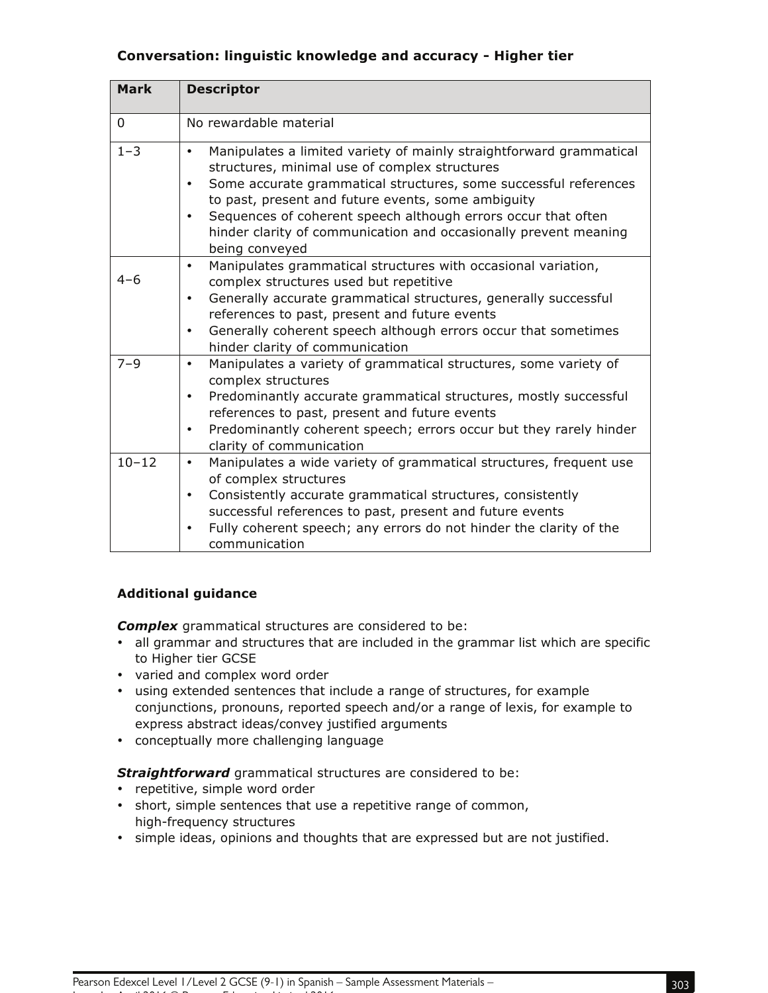### **Conversation: linguistic knowledge and accuracy - Higher tier**

| <b>Mark</b> | <b>Descriptor</b>                                                                                                                                                                                                                                                                                                                                                                                                                            |
|-------------|----------------------------------------------------------------------------------------------------------------------------------------------------------------------------------------------------------------------------------------------------------------------------------------------------------------------------------------------------------------------------------------------------------------------------------------------|
| $\mathbf 0$ | No rewardable material                                                                                                                                                                                                                                                                                                                                                                                                                       |
| $1 - 3$     | Manipulates a limited variety of mainly straightforward grammatical<br>$\bullet$<br>structures, minimal use of complex structures<br>Some accurate grammatical structures, some successful references<br>$\bullet$<br>to past, present and future events, some ambiguity<br>Sequences of coherent speech although errors occur that often<br>$\bullet$<br>hinder clarity of communication and occasionally prevent meaning<br>being conveyed |
| $4 - 6$     | Manipulates grammatical structures with occasional variation,<br>$\bullet$<br>complex structures used but repetitive<br>Generally accurate grammatical structures, generally successful<br>$\bullet$<br>references to past, present and future events<br>Generally coherent speech although errors occur that sometimes<br>$\bullet$<br>hinder clarity of communication                                                                      |
| $7 - 9$     | Manipulates a variety of grammatical structures, some variety of<br>$\bullet$<br>complex structures<br>Predominantly accurate grammatical structures, mostly successful<br>٠<br>references to past, present and future events<br>Predominantly coherent speech; errors occur but they rarely hinder<br>$\bullet$<br>clarity of communication                                                                                                 |
| $10 - 12$   | Manipulates a wide variety of grammatical structures, frequent use<br>$\bullet$<br>of complex structures<br>Consistently accurate grammatical structures, consistently<br>$\bullet$<br>successful references to past, present and future events<br>Fully coherent speech; any errors do not hinder the clarity of the<br>٠<br>communication                                                                                                  |

### **Additional guidance**

*Complex* grammatical structures are considered to be:

- all grammar and structures that are included in the grammar list which are specific to Higher tier GCSE
- varied and complex word order
- using extended sentences that include a range of structures, for example conjunctions, pronouns, reported speech and/or a range of lexis, for example to express abstract ideas/convey justified arguments
- conceptually more challenging language

*Straightforward* grammatical structures are considered to be:

• repetitive, simple word order

- short, simple sentences that use a repetitive range of common, high-frequency structures
- simple ideas, opinions and thoughts that are expressed but are not justified.